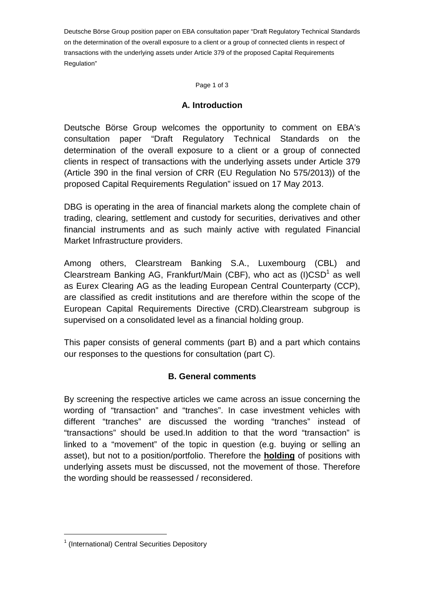Deutsche Börse Group position paper on EBA consultation paper "Draft Regulatory Technical Standards on the determination of the overall exposure to a client or a group of connected clients in respect of transactions with the underlying assets under Article 379 of the proposed Capital Requirements Regulation"

Page 1 of 3

### **A. Introduction**

Deutsche Börse Group welcomes the opportunity to comment on EBA's consultation paper "Draft Regulatory Technical Standards on the determination of the overall exposure to a client or a group of connected clients in respect of transactions with the underlying assets under Article 379 (Article 390 in the final version of CRR (EU Regulation No 575/2013)) of the proposed Capital Requirements Regulation" issued on 17 May 2013.

DBG is operating in the area of financial markets along the complete chain of trading, clearing, settlement and custody for securities, derivatives and other financial instruments and as such mainly active with regulated Financial Market Infrastructure providers.

Among others, Clearstream Banking S.A., Luxembourg (CBL) and Clearstream Banking AG, Frankfurt/Main (CBF), who act as  $(I) CSD<sup>1</sup>$  as well as Eurex Clearing AG as the leading European Central Counterparty (CCP), are classified as credit institutions and are therefore within the scope of the European Capital Requirements Directive (CRD).Clearstream subgroup is supervised on a consolidated level as a financial holding group.

This paper consists of general comments (part B) and a part which contains our responses to the questions for consultation (part C).

# **B. General comments**

By screening the respective articles we came across an issue concerning the wording of "transaction" and "tranches". In case investment vehicles with different "tranches" are discussed the wording "tranches" instead of "transactions" should be used.In addition to that the word "transaction" is linked to a "movement" of the topic in question (e.g. buying or selling an asset), but not to a position/portfolio. Therefore the **holding** of positions with underlying assets must be discussed, not the movement of those. Therefore the wording should be reassessed / reconsidered.

 $\overline{a}$ 

<sup>&</sup>lt;sup>1</sup> (International) Central Securities Depository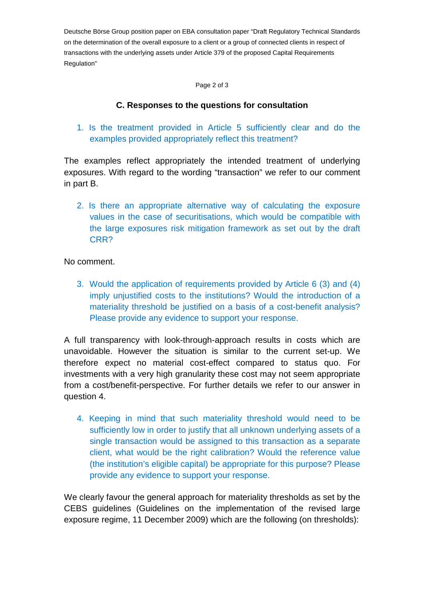Deutsche Börse Group position paper on EBA consultation paper "Draft Regulatory Technical Standards on the determination of the overall exposure to a client or a group of connected clients in respect of transactions with the underlying assets under Article 379 of the proposed Capital Requirements Regulation"

Page 2 of 3

# **C. Responses to the questions for consultation**

1. Is the treatment provided in Article 5 sufficiently clear and do the examples provided appropriately reflect this treatment?

The examples reflect appropriately the intended treatment of underlying exposures. With regard to the wording "transaction" we refer to our comment in part B.

2. Is there an appropriate alternative way of calculating the exposure values in the case of securitisations, which would be compatible with the large exposures risk mitigation framework as set out by the draft CRR?

#### No comment.

3. Would the application of requirements provided by Article 6 (3) and (4) imply unjustified costs to the institutions? Would the introduction of a materiality threshold be justified on a basis of a cost-benefit analysis? Please provide any evidence to support your response.

A full transparency with look-through-approach results in costs which are unavoidable. However the situation is similar to the current set-up. We therefore expect no material cost-effect compared to status quo. For investments with a very high granularity these cost may not seem appropriate from a cost/benefit-perspective. For further details we refer to our answer in question 4.

4. Keeping in mind that such materiality threshold would need to be sufficiently low in order to justify that all unknown underlying assets of a single transaction would be assigned to this transaction as a separate client, what would be the right calibration? Would the reference value (the institution's eligible capital) be appropriate for this purpose? Please provide any evidence to support your response.

We clearly favour the general approach for materiality thresholds as set by the CEBS guidelines (Guidelines on the implementation of the revised large exposure regime, 11 December 2009) which are the following (on thresholds):